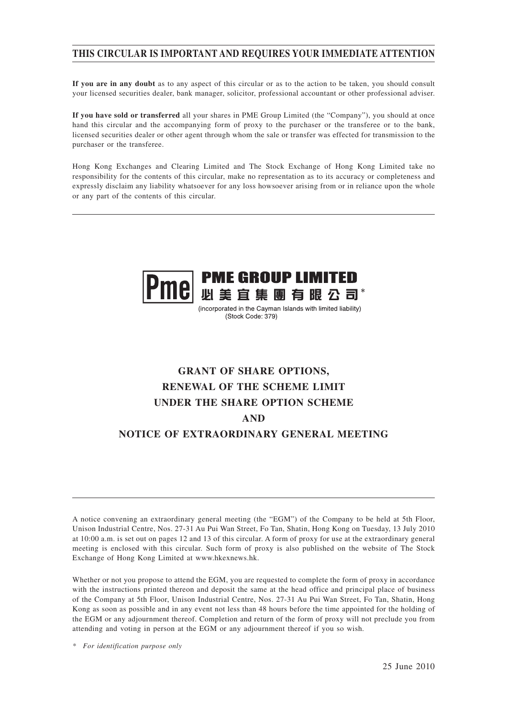### **THIS CIRCULAR IS IMPORTANT AND REQUIRES YOUR IMMEDIATE ATTENTION**

**If you are in any doubt** as to any aspect of this circular or as to the action to be taken, you should consult your licensed securities dealer, bank manager, solicitor, professional accountant or other professional adviser.

**If you have sold or transferred** all your shares in PME Group Limited (the "Company"), you should at once hand this circular and the accompanying form of proxy to the purchaser or the transferee or to the bank, licensed securities dealer or other agent through whom the sale or transfer was effected for transmission to the purchaser or the transferee.

Hong Kong Exchanges and Clearing Limited and The Stock Exchange of Hong Kong Limited take no responsibility for the contents of this circular, make no representation as to its accuracy or completeness and expressly disclaim any liability whatsoever for any loss howsoever arising from or in reliance upon the whole or any part of the contents of this circular.



(incorporated in the Cayman Islands with limited liability) (Stock Code: 379)

# **GRANT OF SHARE OPTIONS, RENEWAL OF THE SCHEME LIMIT UNDER THE SHARE OPTION SCHEME AND NOTICE OF EXTRAORDINARY GENERAL MEETING**

A notice convening an extraordinary general meeting (the "EGM") of the Company to be held at 5th Floor, Unison Industrial Centre, Nos. 27-31 Au Pui Wan Street, Fo Tan, Shatin, Hong Kong on Tuesday, 13 July 2010 at 10:00 a.m. is set out on pages 12 and 13 of this circular. A form of proxy for use at the extraordinary general meeting is enclosed with this circular. Such form of proxy is also published on the website of The Stock Exchange of Hong Kong Limited at www.hkexnews.hk.

Whether or not you propose to attend the EGM, you are requested to complete the form of proxy in accordance with the instructions printed thereon and deposit the same at the head office and principal place of business of the Company at 5th Floor, Unison Industrial Centre, Nos. 27-31 Au Pui Wan Street, Fo Tan, Shatin, Hong Kong as soon as possible and in any event not less than 48 hours before the time appointed for the holding of the EGM or any adjournment thereof. Completion and return of the form of proxy will not preclude you from attending and voting in person at the EGM or any adjournment thereof if you so wish.

*\* For identification purpose only*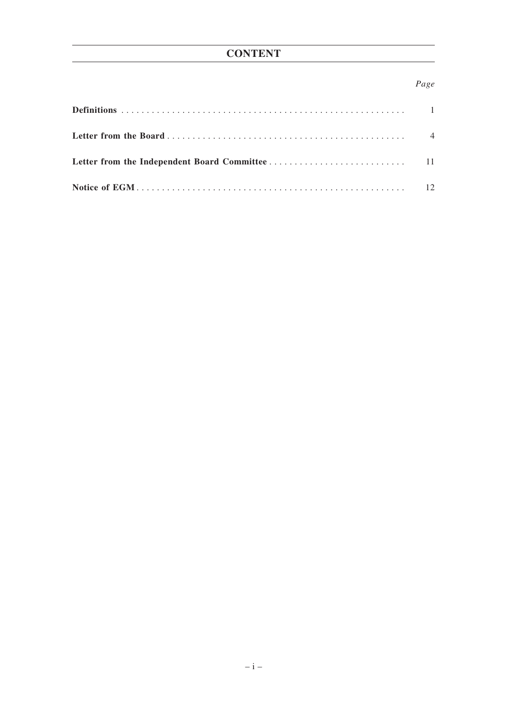### *Page*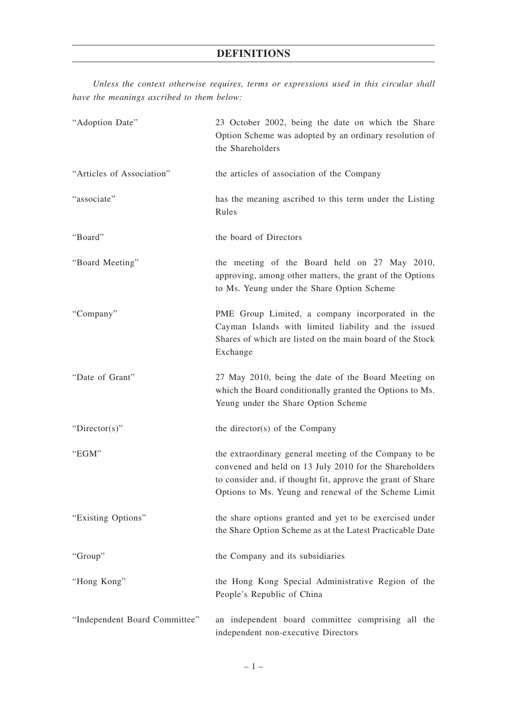*Unless the context otherwise requires, terms or expressions used in this circular shall have the meanings ascribed to them below:*

| "Adoption Date"               | 23 October 2002, being the date on which the Share<br>Option Scheme was adopted by an ordinary resolution of<br>the Shareholders                                                                                                        |
|-------------------------------|-----------------------------------------------------------------------------------------------------------------------------------------------------------------------------------------------------------------------------------------|
| "Articles of Association"     | the articles of association of the Company                                                                                                                                                                                              |
| "associate"                   | has the meaning ascribed to this term under the Listing<br>Rules                                                                                                                                                                        |
| "Board"                       | the board of Directors                                                                                                                                                                                                                  |
| "Board Meeting"               | the meeting of the Board held on 27 May 2010,<br>approving, among other matters, the grant of the Options<br>to Ms. Yeung under the Share Option Scheme                                                                                 |
| "Company"                     | PME Group Limited, a company incorporated in the<br>Cayman Islands with limited liability and the issued<br>Shares of which are listed on the main board of the Stock<br>Exchange                                                       |
| "Date of Grant"               | 27 May 2010, being the date of the Board Meeting on<br>which the Board conditionally granted the Options to Ms.<br>Yeung under the Share Option Scheme                                                                                  |
| "Director(s)"                 | the director(s) of the Company                                                                                                                                                                                                          |
| "EGM"                         | the extraordinary general meeting of the Company to be<br>convened and held on 13 July 2010 for the Shareholders<br>to consider and, if thought fit, approve the grant of Share<br>Options to Ms. Yeung and renewal of the Scheme Limit |
| "Existing Options"            | the share options granted and yet to be exercised under<br>the Share Option Scheme as at the Latest Practicable Date                                                                                                                    |
| "Group"                       | the Company and its subsidiaries                                                                                                                                                                                                        |
| "Hong Kong"                   | the Hong Kong Special Administrative Region of the<br>People's Republic of China                                                                                                                                                        |
| "Independent Board Committee" | an independent board committee comprising all the<br>independent non-executive Directors                                                                                                                                                |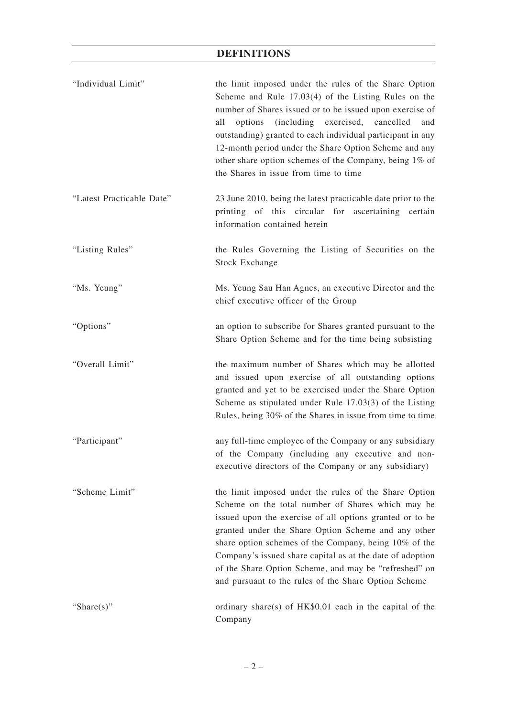# **DEFINITIONS**

| "Individual Limit"        | the limit imposed under the rules of the Share Option<br>Scheme and Rule $17.03(4)$ of the Listing Rules on the<br>number of Shares issued or to be issued upon exercise of<br>(including exercised, cancelled<br>all<br>options<br>and<br>outstanding) granted to each individual participant in any<br>12-month period under the Share Option Scheme and any<br>other share option schemes of the Company, being 1% of<br>the Shares in issue from time to time    |
|---------------------------|----------------------------------------------------------------------------------------------------------------------------------------------------------------------------------------------------------------------------------------------------------------------------------------------------------------------------------------------------------------------------------------------------------------------------------------------------------------------|
| "Latest Practicable Date" | 23 June 2010, being the latest practicable date prior to the<br>printing of this circular for ascertaining certain<br>information contained herein                                                                                                                                                                                                                                                                                                                   |
| "Listing Rules"           | the Rules Governing the Listing of Securities on the<br><b>Stock Exchange</b>                                                                                                                                                                                                                                                                                                                                                                                        |
| "Ms. Yeung"               | Ms. Yeung Sau Han Agnes, an executive Director and the<br>chief executive officer of the Group                                                                                                                                                                                                                                                                                                                                                                       |
| "Options"                 | an option to subscribe for Shares granted pursuant to the<br>Share Option Scheme and for the time being subsisting                                                                                                                                                                                                                                                                                                                                                   |
| "Overall Limit"           | the maximum number of Shares which may be allotted<br>and issued upon exercise of all outstanding options<br>granted and yet to be exercised under the Share Option<br>Scheme as stipulated under Rule $17.03(3)$ of the Listing<br>Rules, being 30% of the Shares in issue from time to time                                                                                                                                                                        |
| "Participant"             | any full-time employee of the Company or any subsidiary<br>of the Company (including any executive and non-<br>executive directors of the Company or any subsidiary)                                                                                                                                                                                                                                                                                                 |
| "Scheme Limit"            | the limit imposed under the rules of the Share Option<br>Scheme on the total number of Shares which may be<br>issued upon the exercise of all options granted or to be<br>granted under the Share Option Scheme and any other<br>share option schemes of the Company, being 10% of the<br>Company's issued share capital as at the date of adoption<br>of the Share Option Scheme, and may be "refreshed" on<br>and pursuant to the rules of the Share Option Scheme |
| "Share $(s)$ "            | ordinary share(s) of $HK$0.01$ each in the capital of the<br>Company                                                                                                                                                                                                                                                                                                                                                                                                 |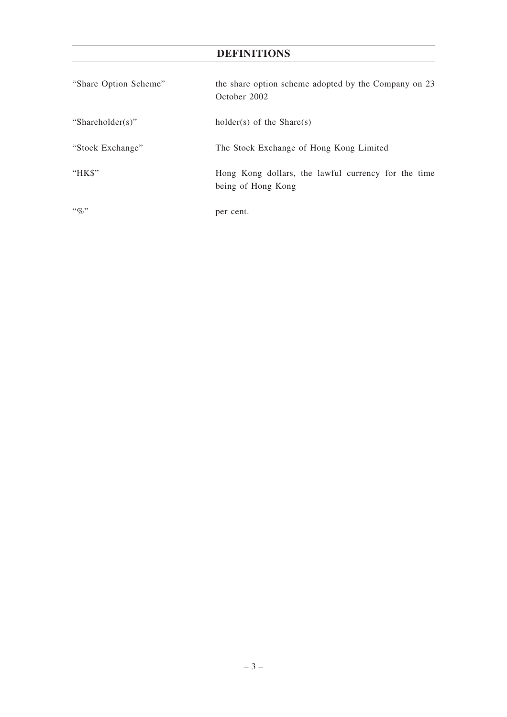# **DEFINITIONS**

| "Share Option Scheme" | the share option scheme adopted by the Company on 23<br>October 2002      |
|-----------------------|---------------------------------------------------------------------------|
| "Shareholder(s)"      | holder(s) of the Share(s)                                                 |
| "Stock Exchange"      | The Stock Exchange of Hong Kong Limited                                   |
| " $HKS$ "             | Hong Kong dollars, the lawful currency for the time<br>being of Hong Kong |
| $\lq\lq q_0$          | per cent.                                                                 |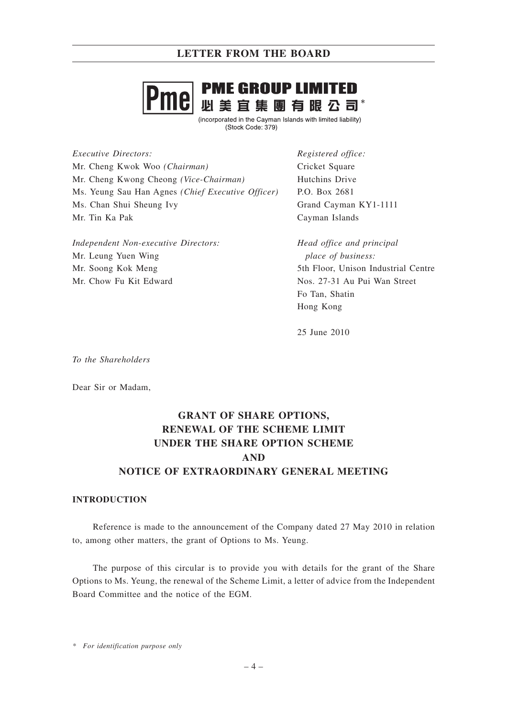

(incorporated in the Cayman Islands with limited liability) (Stock Code: 379)

*Executive Directors:* Mr. Cheng Kwok Woo *(Chairman)* Mr. Cheng Kwong Cheong *(Vice-Chairman)* Ms. Yeung Sau Han Agnes *(Chief Executive Officer)* Ms. Chan Shui Sheung Ivy Mr. Tin Ka Pak

*Independent Non-executive Directors:* Mr. Leung Yuen Wing Mr. Soong Kok Meng Mr. Chow Fu Kit Edward

*Registered office:* Cricket Square Hutchins Drive P.O. Box 2681 Grand Cayman KY1-1111 Cayman Islands

*Head office and principal place of business:* 5th Floor, Unison Industrial Centre Nos. 27-31 Au Pui Wan Street Fo Tan, Shatin Hong Kong

25 June 2010

*To the Shareholders*

Dear Sir or Madam,

# **GRANT OF SHARE OPTIONS, RENEWAL OF THE SCHEME LIMIT UNDER THE SHARE OPTION SCHEME AND NOTICE OF EXTRAORDINARY GENERAL MEETING**

#### **INTRODUCTION**

Reference is made to the announcement of the Company dated 27 May 2010 in relation to, among other matters, the grant of Options to Ms. Yeung.

The purpose of this circular is to provide you with details for the grant of the Share Options to Ms. Yeung, the renewal of the Scheme Limit, a letter of advice from the Independent Board Committee and the notice of the EGM.

*\* For identification purpose only*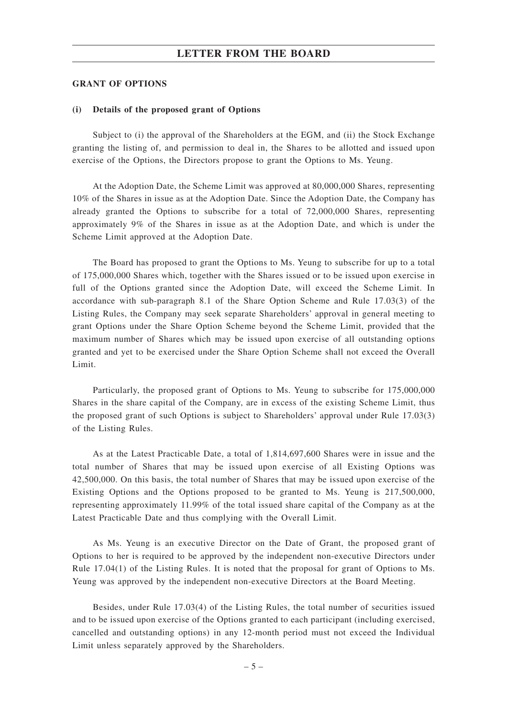#### **GRANT OF OPTIONS**

#### **(i) Details of the proposed grant of Options**

Subject to (i) the approval of the Shareholders at the EGM, and (ii) the Stock Exchange granting the listing of, and permission to deal in, the Shares to be allotted and issued upon exercise of the Options, the Directors propose to grant the Options to Ms. Yeung.

At the Adoption Date, the Scheme Limit was approved at 80,000,000 Shares, representing 10% of the Shares in issue as at the Adoption Date. Since the Adoption Date, the Company has already granted the Options to subscribe for a total of 72,000,000 Shares, representing approximately 9% of the Shares in issue as at the Adoption Date, and which is under the Scheme Limit approved at the Adoption Date.

The Board has proposed to grant the Options to Ms. Yeung to subscribe for up to a total of 175,000,000 Shares which, together with the Shares issued or to be issued upon exercise in full of the Options granted since the Adoption Date, will exceed the Scheme Limit. In accordance with sub-paragraph 8.1 of the Share Option Scheme and Rule 17.03(3) of the Listing Rules, the Company may seek separate Shareholders' approval in general meeting to grant Options under the Share Option Scheme beyond the Scheme Limit, provided that the maximum number of Shares which may be issued upon exercise of all outstanding options granted and yet to be exercised under the Share Option Scheme shall not exceed the Overall Limit.

Particularly, the proposed grant of Options to Ms. Yeung to subscribe for 175,000,000 Shares in the share capital of the Company, are in excess of the existing Scheme Limit, thus the proposed grant of such Options is subject to Shareholders' approval under Rule 17.03(3) of the Listing Rules.

As at the Latest Practicable Date, a total of 1,814,697,600 Shares were in issue and the total number of Shares that may be issued upon exercise of all Existing Options was 42,500,000. On this basis, the total number of Shares that may be issued upon exercise of the Existing Options and the Options proposed to be granted to Ms. Yeung is 217,500,000, representing approximately 11.99% of the total issued share capital of the Company as at the Latest Practicable Date and thus complying with the Overall Limit.

As Ms. Yeung is an executive Director on the Date of Grant, the proposed grant of Options to her is required to be approved by the independent non-executive Directors under Rule 17.04(1) of the Listing Rules. It is noted that the proposal for grant of Options to Ms. Yeung was approved by the independent non-executive Directors at the Board Meeting.

Besides, under Rule 17.03(4) of the Listing Rules, the total number of securities issued and to be issued upon exercise of the Options granted to each participant (including exercised, cancelled and outstanding options) in any 12-month period must not exceed the Individual Limit unless separately approved by the Shareholders.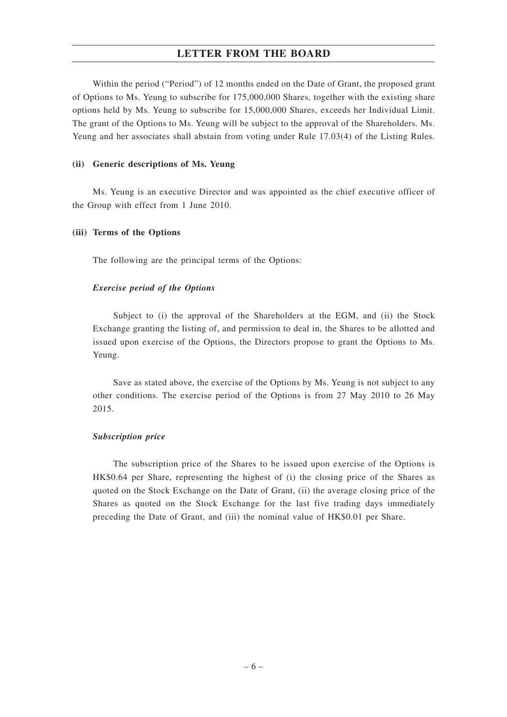Within the period ("Period") of 12 months ended on the Date of Grant, the proposed grant of Options to Ms. Yeung to subscribe for 175,000,000 Shares, together with the existing share options held by Ms. Yeung to subscribe for 15,000,000 Shares, exceeds her Individual Limit. The grant of the Options to Ms. Yeung will be subject to the approval of the Shareholders. Ms. Yeung and her associates shall abstain from voting under Rule 17.03(4) of the Listing Rules.

#### **(ii) Generic descriptions of Ms. Yeung**

Ms. Yeung is an executive Director and was appointed as the chief executive officer of the Group with effect from 1 June 2010.

#### **(iii) Terms of the Options**

The following are the principal terms of the Options:

#### *Exercise period of the Options*

Subject to (i) the approval of the Shareholders at the EGM, and (ii) the Stock Exchange granting the listing of, and permission to deal in, the Shares to be allotted and issued upon exercise of the Options, the Directors propose to grant the Options to Ms. Yeung.

Save as stated above, the exercise of the Options by Ms. Yeung is not subject to any other conditions. The exercise period of the Options is from 27 May 2010 to 26 May 2015.

#### *Subscription price*

The subscription price of the Shares to be issued upon exercise of the Options is HK\$0.64 per Share, representing the highest of (i) the closing price of the Shares as quoted on the Stock Exchange on the Date of Grant, (ii) the average closing price of the Shares as quoted on the Stock Exchange for the last five trading days immediately preceding the Date of Grant, and (iii) the nominal value of HK\$0.01 per Share.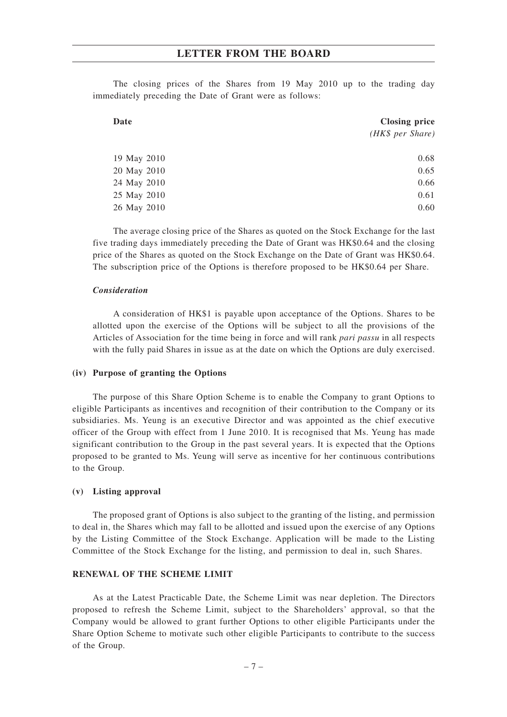The closing prices of the Shares from 19 May 2010 up to the trading day immediately preceding the Date of Grant were as follows:

| Date        | <b>Closing price</b> |
|-------------|----------------------|
|             | (HK\$ per Share)     |
|             |                      |
| 19 May 2010 | 0.68                 |
| 20 May 2010 | 0.65                 |
| 24 May 2010 | 0.66                 |
| 25 May 2010 | 0.61                 |
| 26 May 2010 | 0.60                 |

The average closing price of the Shares as quoted on the Stock Exchange for the last five trading days immediately preceding the Date of Grant was HK\$0.64 and the closing price of the Shares as quoted on the Stock Exchange on the Date of Grant was HK\$0.64. The subscription price of the Options is therefore proposed to be HK\$0.64 per Share.

#### *Consideration*

A consideration of HK\$1 is payable upon acceptance of the Options. Shares to be allotted upon the exercise of the Options will be subject to all the provisions of the Articles of Association for the time being in force and will rank *pari passu* in all respects with the fully paid Shares in issue as at the date on which the Options are duly exercised.

#### **(iv) Purpose of granting the Options**

The purpose of this Share Option Scheme is to enable the Company to grant Options to eligible Participants as incentives and recognition of their contribution to the Company or its subsidiaries. Ms. Yeung is an executive Director and was appointed as the chief executive officer of the Group with effect from 1 June 2010. It is recognised that Ms. Yeung has made significant contribution to the Group in the past several years. It is expected that the Options proposed to be granted to Ms. Yeung will serve as incentive for her continuous contributions to the Group.

#### **(v) Listing approval**

The proposed grant of Options is also subject to the granting of the listing, and permission to deal in, the Shares which may fall to be allotted and issued upon the exercise of any Options by the Listing Committee of the Stock Exchange. Application will be made to the Listing Committee of the Stock Exchange for the listing, and permission to deal in, such Shares.

#### **RENEWAL OF THE SCHEME LIMIT**

As at the Latest Practicable Date, the Scheme Limit was near depletion. The Directors proposed to refresh the Scheme Limit, subject to the Shareholders' approval, so that the Company would be allowed to grant further Options to other eligible Participants under the Share Option Scheme to motivate such other eligible Participants to contribute to the success of the Group.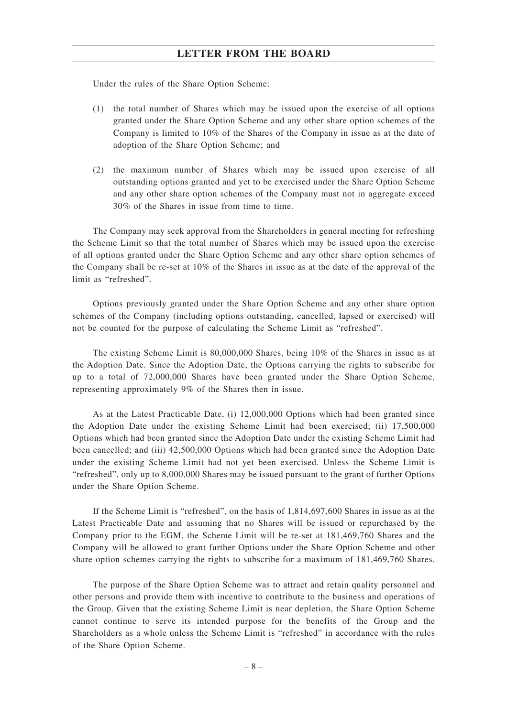Under the rules of the Share Option Scheme:

- (1) the total number of Shares which may be issued upon the exercise of all options granted under the Share Option Scheme and any other share option schemes of the Company is limited to 10% of the Shares of the Company in issue as at the date of adoption of the Share Option Scheme; and
- (2) the maximum number of Shares which may be issued upon exercise of all outstanding options granted and yet to be exercised under the Share Option Scheme and any other share option schemes of the Company must not in aggregate exceed 30% of the Shares in issue from time to time.

The Company may seek approval from the Shareholders in general meeting for refreshing the Scheme Limit so that the total number of Shares which may be issued upon the exercise of all options granted under the Share Option Scheme and any other share option schemes of the Company shall be re-set at 10% of the Shares in issue as at the date of the approval of the limit as "refreshed".

Options previously granted under the Share Option Scheme and any other share option schemes of the Company (including options outstanding, cancelled, lapsed or exercised) will not be counted for the purpose of calculating the Scheme Limit as "refreshed".

The existing Scheme Limit is 80,000,000 Shares, being 10% of the Shares in issue as at the Adoption Date. Since the Adoption Date, the Options carrying the rights to subscribe for up to a total of 72,000,000 Shares have been granted under the Share Option Scheme, representing approximately 9% of the Shares then in issue.

As at the Latest Practicable Date, (i) 12,000,000 Options which had been granted since the Adoption Date under the existing Scheme Limit had been exercised; (ii) 17,500,000 Options which had been granted since the Adoption Date under the existing Scheme Limit had been cancelled; and (iii) 42,500,000 Options which had been granted since the Adoption Date under the existing Scheme Limit had not yet been exercised. Unless the Scheme Limit is "refreshed", only up to 8,000,000 Shares may be issued pursuant to the grant of further Options under the Share Option Scheme.

If the Scheme Limit is "refreshed", on the basis of 1,814,697,600 Shares in issue as at the Latest Practicable Date and assuming that no Shares will be issued or repurchased by the Company prior to the EGM, the Scheme Limit will be re-set at 181,469,760 Shares and the Company will be allowed to grant further Options under the Share Option Scheme and other share option schemes carrying the rights to subscribe for a maximum of 181,469,760 Shares.

The purpose of the Share Option Scheme was to attract and retain quality personnel and other persons and provide them with incentive to contribute to the business and operations of the Group. Given that the existing Scheme Limit is near depletion, the Share Option Scheme cannot continue to serve its intended purpose for the benefits of the Group and the Shareholders as a whole unless the Scheme Limit is "refreshed" in accordance with the rules of the Share Option Scheme.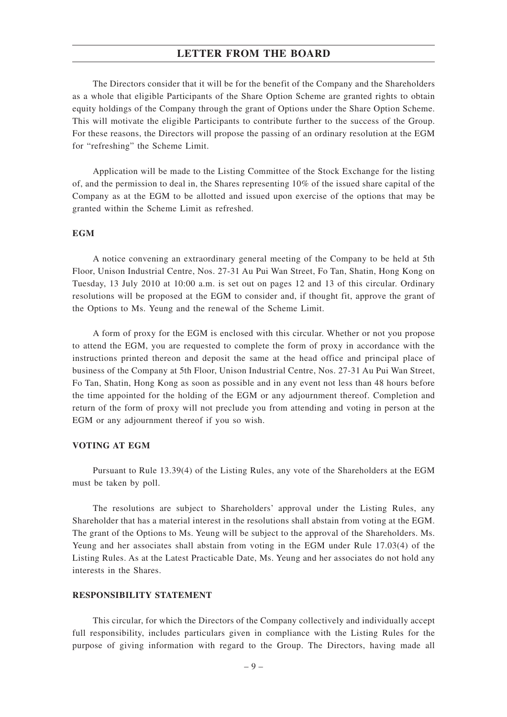The Directors consider that it will be for the benefit of the Company and the Shareholders as a whole that eligible Participants of the Share Option Scheme are granted rights to obtain equity holdings of the Company through the grant of Options under the Share Option Scheme. This will motivate the eligible Participants to contribute further to the success of the Group. For these reasons, the Directors will propose the passing of an ordinary resolution at the EGM for "refreshing" the Scheme Limit.

Application will be made to the Listing Committee of the Stock Exchange for the listing of, and the permission to deal in, the Shares representing 10% of the issued share capital of the Company as at the EGM to be allotted and issued upon exercise of the options that may be granted within the Scheme Limit as refreshed.

#### **EGM**

A notice convening an extraordinary general meeting of the Company to be held at 5th Floor, Unison Industrial Centre, Nos. 27-31 Au Pui Wan Street, Fo Tan, Shatin, Hong Kong on Tuesday, 13 July 2010 at 10:00 a.m. is set out on pages 12 and 13 of this circular. Ordinary resolutions will be proposed at the EGM to consider and, if thought fit, approve the grant of the Options to Ms. Yeung and the renewal of the Scheme Limit.

A form of proxy for the EGM is enclosed with this circular. Whether or not you propose to attend the EGM, you are requested to complete the form of proxy in accordance with the instructions printed thereon and deposit the same at the head office and principal place of business of the Company at 5th Floor, Unison Industrial Centre, Nos. 27-31 Au Pui Wan Street, Fo Tan, Shatin, Hong Kong as soon as possible and in any event not less than 48 hours before the time appointed for the holding of the EGM or any adjournment thereof. Completion and return of the form of proxy will not preclude you from attending and voting in person at the EGM or any adjournment thereof if you so wish.

#### **VOTING AT EGM**

Pursuant to Rule 13.39(4) of the Listing Rules, any vote of the Shareholders at the EGM must be taken by poll.

The resolutions are subject to Shareholders' approval under the Listing Rules, any Shareholder that has a material interest in the resolutions shall abstain from voting at the EGM. The grant of the Options to Ms. Yeung will be subject to the approval of the Shareholders. Ms. Yeung and her associates shall abstain from voting in the EGM under Rule 17.03(4) of the Listing Rules. As at the Latest Practicable Date, Ms. Yeung and her associates do not hold any interests in the Shares.

#### **RESPONSIBILITY STATEMENT**

This circular, for which the Directors of the Company collectively and individually accept full responsibility, includes particulars given in compliance with the Listing Rules for the purpose of giving information with regard to the Group. The Directors, having made all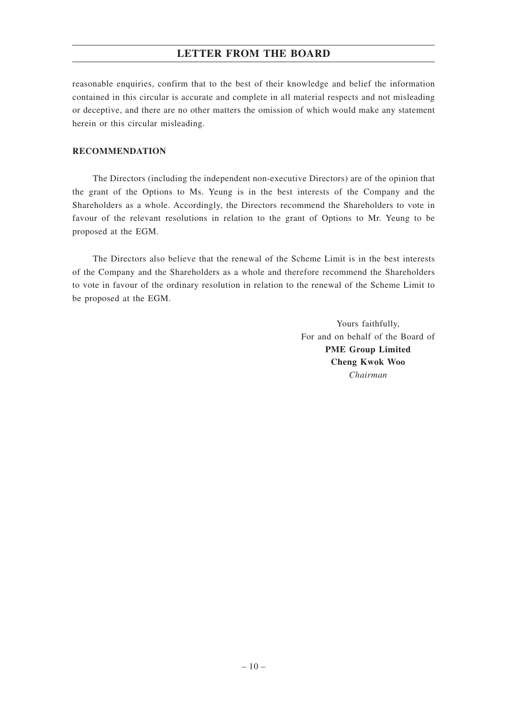reasonable enquiries, confirm that to the best of their knowledge and belief the information contained in this circular is accurate and complete in all material respects and not misleading or deceptive, and there are no other matters the omission of which would make any statement herein or this circular misleading.

#### **RECOMMENDATION**

The Directors (including the independent non-executive Directors) are of the opinion that the grant of the Options to Ms. Yeung is in the best interests of the Company and the Shareholders as a whole. Accordingly, the Directors recommend the Shareholders to vote in favour of the relevant resolutions in relation to the grant of Options to Mr. Yeung to be proposed at the EGM.

The Directors also believe that the renewal of the Scheme Limit is in the best interests of the Company and the Shareholders as a whole and therefore recommend the Shareholders to vote in favour of the ordinary resolution in relation to the renewal of the Scheme Limit to be proposed at the EGM.

> Yours faithfully, For and on behalf of the Board of **PME Group Limited Cheng Kwok Woo** *Chairman*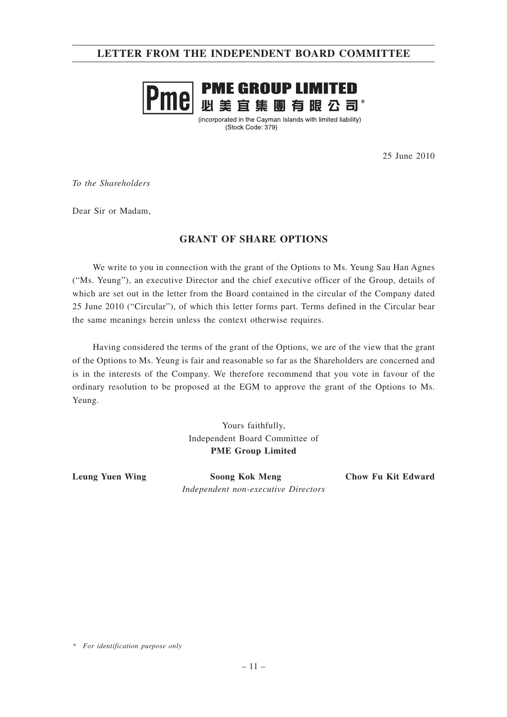### **LETTER FROM THE INDEPENDENT BOARD COMMITTEE**



(incorporated in the Cayman Islands with limited liability) (Stock Code: 379)

25 June 2010

*To the Shareholders*

Dear Sir or Madam,

#### **GRANT OF SHARE OPTIONS**

We write to you in connection with the grant of the Options to Ms. Yeung Sau Han Agnes ("Ms. Yeung"), an executive Director and the chief executive officer of the Group, details of which are set out in the letter from the Board contained in the circular of the Company dated 25 June 2010 ("Circular"), of which this letter forms part. Terms defined in the Circular bear the same meanings herein unless the context otherwise requires.

Having considered the terms of the grant of the Options, we are of the view that the grant of the Options to Ms. Yeung is fair and reasonable so far as the Shareholders are concerned and is in the interests of the Company. We therefore recommend that you vote in favour of the ordinary resolution to be proposed at the EGM to approve the grant of the Options to Ms. Yeung.

> Yours faithfully, Independent Board Committee of **PME Group Limited**

**Leung Yuen Wing Soong Kok Meng Chow Fu Kit Edward** *Independent non-executive Directors*

*<sup>\*</sup> For identification purpose only*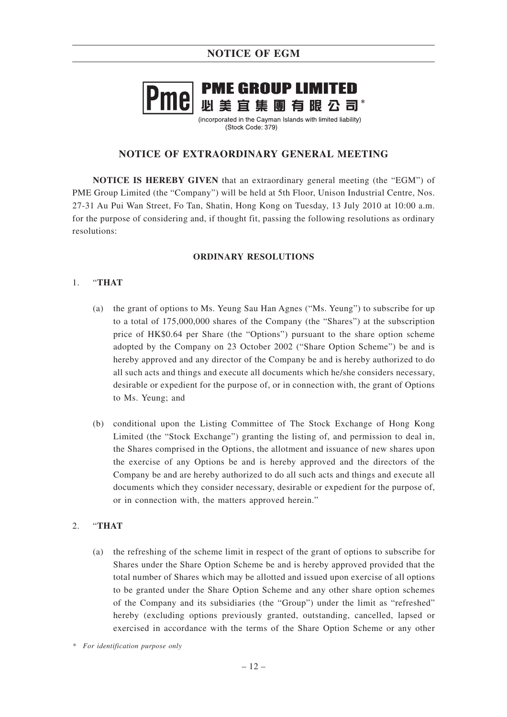### **NOTICE OF EGM**

# **PME GROUP LIMITED 必美宜集團有眼公司\***

(incorporated in the Cavman Islands with limited liability) (Stock Code: 379)

### **NOTICE OF EXTRAORDINARY GENERAL MEETING**

**NOTICE IS HEREBY GIVEN** that an extraordinary general meeting (the "EGM") of PME Group Limited (the "Company") will be held at 5th Floor, Unison Industrial Centre, Nos. 27-31 Au Pui Wan Street, Fo Tan, Shatin, Hong Kong on Tuesday, 13 July 2010 at 10:00 a.m. for the purpose of considering and, if thought fit, passing the following resolutions as ordinary resolutions:

#### **ORDINARY RESOLUTIONS**

#### 1. "**THAT**

- (a) the grant of options to Ms. Yeung Sau Han Agnes ("Ms. Yeung") to subscribe for up to a total of 175,000,000 shares of the Company (the "Shares") at the subscription price of HK\$0.64 per Share (the "Options") pursuant to the share option scheme adopted by the Company on 23 October 2002 ("Share Option Scheme") be and is hereby approved and any director of the Company be and is hereby authorized to do all such acts and things and execute all documents which he/she considers necessary, desirable or expedient for the purpose of, or in connection with, the grant of Options to Ms. Yeung; and
- (b) conditional upon the Listing Committee of The Stock Exchange of Hong Kong Limited (the "Stock Exchange") granting the listing of, and permission to deal in, the Shares comprised in the Options, the allotment and issuance of new shares upon the exercise of any Options be and is hereby approved and the directors of the Company be and are hereby authorized to do all such acts and things and execute all documents which they consider necessary, desirable or expedient for the purpose of, or in connection with, the matters approved herein."

#### 2. "**THAT**

(a) the refreshing of the scheme limit in respect of the grant of options to subscribe for Shares under the Share Option Scheme be and is hereby approved provided that the total number of Shares which may be allotted and issued upon exercise of all options to be granted under the Share Option Scheme and any other share option schemes of the Company and its subsidiaries (the "Group") under the limit as "refreshed" hereby (excluding options previously granted, outstanding, cancelled, lapsed or exercised in accordance with the terms of the Share Option Scheme or any other

*<sup>\*</sup> For identification purpose only*